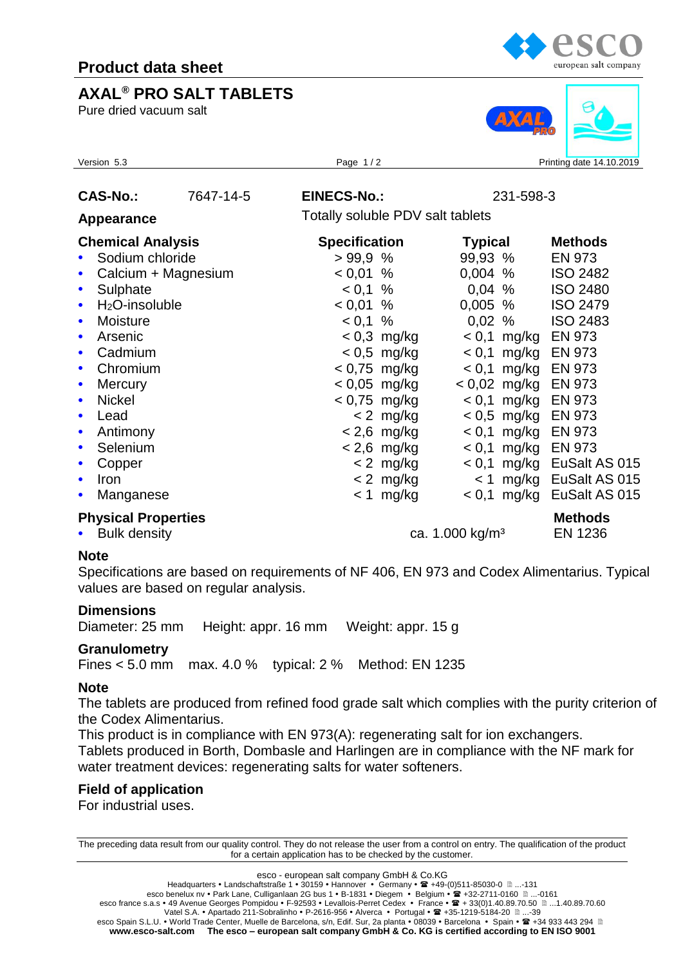# **AXAL® PRO SALT TABLETS**

Pure dried vacuum salt





| Version 5.3                                                                                                                                                                                                                                                                        | Page $1/2$                                                                                                                                                                                                                                                             |                                                                                                                                                                                                                                                                          | Printing date 14.10.2019                                                                                                                                                                                                                                                      |
|------------------------------------------------------------------------------------------------------------------------------------------------------------------------------------------------------------------------------------------------------------------------------------|------------------------------------------------------------------------------------------------------------------------------------------------------------------------------------------------------------------------------------------------------------------------|--------------------------------------------------------------------------------------------------------------------------------------------------------------------------------------------------------------------------------------------------------------------------|-------------------------------------------------------------------------------------------------------------------------------------------------------------------------------------------------------------------------------------------------------------------------------|
| <b>CAS-No.:</b><br>7647-14-5<br><b>Appearance</b>                                                                                                                                                                                                                                  | <b>EINECS-No.:</b><br>Totally soluble PDV salt tablets                                                                                                                                                                                                                 | 231-598-3                                                                                                                                                                                                                                                                |                                                                                                                                                                                                                                                                               |
| <b>Chemical Analysis</b><br>Sodium chloride<br>Calcium + Magnesium<br>Sulphate<br>$H2O$ -insoluble<br>Moisture<br>Arsenic<br>Cadmium<br>Chromium<br>$\bullet$<br>Mercury<br><b>Nickel</b><br>Lead<br>$\bullet$<br>Antimony<br>$\bullet$<br>Selenium<br>Copper<br>Iron<br>Manganese | <b>Specification</b><br>>99.9%<br>$< 0.01$ %<br>< 0.1 %<br>$< 0.01$ %<br>< 0.1 %<br>$< 0.3$ mg/kg<br>$< 0.5$ mg/kg<br>$< 0.75$ mg/kg<br>$< 0.05$ mg/kg<br>$< 0.75$ mg/kg<br>$< 2$ mg/kg<br>$< 2.6$ mg/kg<br>$< 2,6$ mg/kg<br>$< 2$ mg/kg<br>$< 2$ mg/kg<br>$< 1$ mg/kg | <b>Typical</b><br>99,93 %<br>$0,004$ %<br>0,04%<br>$0,005$ %<br>0,02%<br>$< 0.1$ mg/kg<br>$< 0.1$ mg/kg<br>$< 0.1$ mg/kg<br>< 0,02 mg/kg<br>$< 0.1$ mg/kg<br>$< 0.5$ mg/kg<br>$< 0.1$ mg/kg<br>$< 0.1$ mg/kg<br>< 0,1 mg/kg EuSalt AS 015<br>$< 0.1$ mg/kg EuSalt AS 015 | <b>Methods</b><br><b>EN 973</b><br><b>ISO 2482</b><br><b>ISO 2480</b><br><b>ISO 2479</b><br><b>ISO 2483</b><br><b>EN 973</b><br><b>EN 973</b><br><b>EN 973</b><br><b>EN 973</b><br><b>EN 973</b><br><b>EN 973</b><br><b>EN 973</b><br><b>EN 973</b><br><1 mg/kg EuSalt AS 015 |
| <b>Physical Properties</b><br><b>Bulk density</b>                                                                                                                                                                                                                                  |                                                                                                                                                                                                                                                                        | ca. 1.000 kg/m <sup>3</sup>                                                                                                                                                                                                                                              | <b>Methods</b><br>EN 1236                                                                                                                                                                                                                                                     |

### **Note**

Specifications are based on requirements of NF 406, EN 973 and Codex Alimentarius. Typical values are based on regular analysis.

### **Dimensions**

Diameter: 25 mm Height: appr. 16 mm Weight: appr. 15 g

### **Granulometry**

Fines < 5.0 mm max. 4.0 % typical: 2 % Method: EN 1235

### **Note**

The tablets are produced from refined food grade salt which complies with the purity criterion of the Codex Alimentarius.

This product is in compliance with EN 973(A): regenerating salt for ion exchangers. Tablets produced in Borth, Dombasle and Harlingen are in compliance with the NF mark for

water treatment devices: regenerating salts for water softeners.

### **Field of application**

For industrial uses.

The preceding data result from our quality control. They do not release the user from a control on entry. The qualification of the product for a certain application has to be checked by the customer.